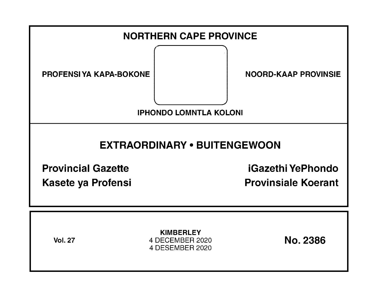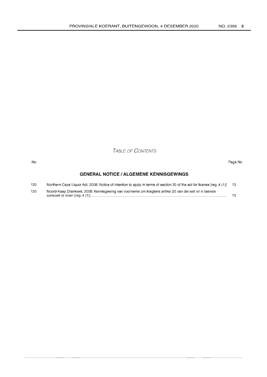TABLE OF CONTENTS

#### No Page No

# **GENERAL NOTICE I ALGEMENE KENNISGEWINGS**

| 120 | Northern Cape Liquor Act, 2008: Notice of intention to apply in terms of section 20 of the act for license [reg. 4 (1)] 13 |    |
|-----|----------------------------------------------------------------------------------------------------------------------------|----|
| 120 | Noord-Kaap Drankwet, 2008: Kennisgewing van voorneme om kragtens artikel 20 van die wet vir n lisensie                     | 13 |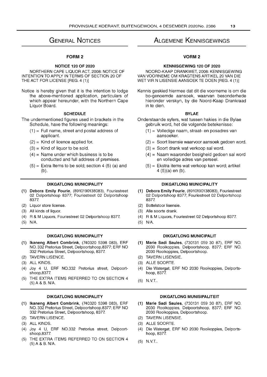# **GENERAL NOTICES**

# FORM 2

### **NOTICE 120 OF 2020**

NORTHERN CAPE LIQUOR ACT, 2008: NOTICE OF INTENTION TO APPLY IN TERMS OF SECTION 20 OF THE ACT FOR LICENSE [REG. 4 (1)]

Notice is hereby given that it is the intention to lodge the above-mentioned application, particulars of which appear hereunder, with the Northern Cape Liquor Board.

#### **SCHEDULE**

The undermentioned figures used in brackets in the Schedule, have the following meanings:

- $(1)$  = Full name, street and postal address of applicant.
- $(2)$  = Kind of licence applied for.
- $(3)$  = Kind of liquor to be sold.
- $(4)$  = Name under which business is to be conducted and full address of premises.
- $(5)$  = Extra Items to be sold; section 4  $(5)$  (a) and (b).

#### **DIKGATLONG MUNICIPALITY**

- **(1) Debora Emily Fourie,** (8910190138083), Fouriestreet 02 Delportshoop 8377; Fouriestreet 02 Delportshoop 8377.
- (2) Liquor store license.
- (3) All kinds of liquor.
- (4) R & M Liquors, Fouriestreet 02 Delportshoop 8377.
- (5) N/A.

# **DIKGATLONG MUNICIPALITY**

- **(1) Ikaneng Albert Combrink,** (740320 5398 083), ERF NO. 332 Pretorius Street, Delpoortshoop,8377; ERF NO 332 Pretorius Street, Delpoortshoop, 8377.
- (2) TAVERN LlSENCE.
- (3) ALL KINDS.
- (4) Joy 4 U, ERF NO.332 Pretorius street, Delpoortshoop,8377.
- (5) THE EXTRA ITEMS REFERRED TO ON SECTION 4 (5) A & B. N/A.

### **DIKGATLONG MUNICIPALITY**

- **(1) Ikaneng Albert Combrink,** (740320 5398 083), ERF NO. 332 Pretorius Street, Delpoortshoop,8377; ERF NO 332 Pretorius Street, Delpoortshoop, 8377.
- (2) TAVERN LlSENCE.
- (3) ALL KINDS.
- (4) Joy 4 U, ERF NO.332 Pretorius street, Delpoortshoop,8377.
- (5) THE EXTRA ITEMS REFERRED TO ON SECTION 4 (5) A & B. N/A.

# **ALGEMENE KENNISGEWINGS**

# **VORM2**

## **KENNISGEWING 120 OF 2020**

NOORD-KAAP DRANKWET, 2008: KENNISGEWING VAN VOORNEME OM KRAGTENS ARTIKEL 20 VAN DIE WET VIR N LlSENSIE AANSOEK TE DOEN [REG. 4 (1)]

Kennis geskied hiermee dat dit die voorneme is om die bo-genoemde aansoek, waarvan besonderhede hieronder verskyn, by die Noord-Kaap Drankraad in te dien.

#### **BYLAE**

- Onderstaande syfers, wat tussen hakies in die Bylae gebruik word, het die volgende betekenisse:
	- (1) = Volledige naam, straat- en posadres van aansoeker.
	- (2) = Soort lisensie waarvoor aansoek gedoen word.
	- (3) = Soort drank wat verkoop sal word.
	- (4) = Naam waaronder besigheid gedoen sal word en volledige adres van perseel.
	- (5) = Ekstra items wat verkoop kan word; artikel 4 (5)(a) en (b).

## **DIKGATLONG MUNICIPALITY**

- **(1) Debora Emily Fourie,** (8910190138083), Fouriestreet 02 Delportshoop 8377; Fouriestreet 02 Delportshoop 8377.
- (2) Bottelstoor lisensie.
- (3) Aile soorte drank.
- (4) R & M Liquors, Fouriestreet 02 Delportshoop 8377.
- (5) N/A.

# **DIKGATLONG MUNICIPALIT**

- **(1) Marie Sadi Saules,** (730131 059 30 87), ERF NO. 2030 Rooikoppies, Delpoortshoop, 8377; ERF NO. 2030 Rooikoppies, Delpoortshoop.
- (2) TAVERN LlSENSIE.
- (3) ALLE SOORTE.
- (4) Die Watergat, ERF NO 2030 Rooikoppies, Delportshoop, 8377.
- (5) N.v.T..

### **DIKGATLONG MUNISIPALITEIT**

- **(1) Marie Sadi Saules,** (730131 059 30 87), ERF NO. 2030 Rooikoppies, Delpoortshoop, 8377; ERF NO. 2030 Rooikoppies, Delpoortshoop.
- (2) TAVERN LlSENSIE.
- (3) ALLE SOORTE.
- (4) Die Watergat, ERF NO 2030 Rooikoppies, Delportshoop, 8377.
- (5) N.v.T..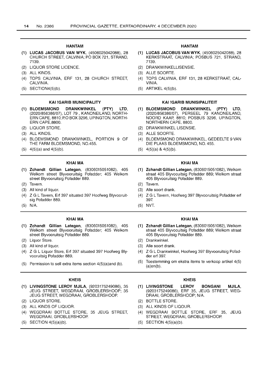# HANTAM

- (1) LUCAS JACOBUS VAN WYK, (4506025042088), 28 CHURCH STREET, CALVINIA; PO BOX 721, STRAND, 7139.
- (2) LIQUOR STORE LICENCE.
- (3) ALL KINDS.
- (4) TOPS CALVINIA, ERF 131, 28 CHURCH STREET, CALVINIA.
- (5) SECTION4(5)(b).

#### KAI !GARIB MUNICIPALITY

- (1) BLOEMSMOND DRANKWINKEL (PTY) LTD, (2020/856386/07), LOT 79 , KANONEILAND, NORTH-ERN CAPE, 8810; P.O BOX 3296, UPINGTON, NORTH-ERN CAPE,8800.
- (2) LIQUOR STORE.
- (3) ALL KINDS.
- (4) BLOEMSMOND DRANKWINKEL, PORTION 9 OF THE FARM BLOEMSMOND, NO.455.
- $(5)$  4(5)(a) and 4(5)(b).

#### KHAI MA

- (1) Zchandt Gillian Lategan, (8306015051082), 405 Welkom street Blyvooruitsig Pofadder; 405 Welkom street Blyvooruitsig Pofadder 889.
- (2) Tavern.
- (3) All kind of liquor.
- (4) Z G L Tavern, Erf 397 situated 397 Hoofweg Blyvooruitsig Pofadder 889.
- (5) N/A.

#### KHAI MA

- (1) Zchandt Gillian Lategan, (8306015051082), 405 Welkom street Blyvooruitsig Pofadder; 405 Welkom street Blyvooruitsig Pofadder 889.
- (2) Liquor Store.
- (3) All kind of liquor.
- (4) Z G L Liquor Store, Erf 397 situated 397 Hoofweg Blyvooruitsig Pofadder 889.
- (5) Permission to sell extra items section 4(5)(a)and (b).

#### KHEIS

- (1) LIVINGSTONE LEROY MJILA, (9203175249086), 35 JEUG STREET, WEGDRAAI, GROBLERSHOOP; 35 JEUG STREET, WEGDRAAI, GROBLERSHOOP
- (2) LIQUOR STORE.
- (3) ALL KINDS OF LIQUOR.
- (4) WEGDRAAI BOTTLE STORE, 35 JEUG STREET, WEGDRAAI, GROBLERSHOOP.
- (5) SECTION 4(5)(a)(b).

#### HANTAM

- (1) LUCAS JACOBUS VAN WYK, (4506025042088), 28 KERKSTRAAT, CALVINIA; POSBUS 721, STRAND, 7139.
- (2) DRANKWINKELLISENSIE.
- (3) ALLE SOORTE.
- (4) TOPS CALVINIA, ERF 131, 28 KERKSTRAAT, CAL-VINIA.
- (5) ARTIKEL 4(5)(b).

#### KAI !GARIB MUNISIPALITEIT

- (1) BLOEMSMOND DRANKWINKEL (PTY) LTD, (2020/856386/07), PERSEEL 79 KANONEILAND, NOORD KAAP, 8810; POSBUS 3296, UPINGTON, NORTHERN CAPE, 8800.
- (2) DRANKWINKEL LlSENSIE.
- (3) ALLE SOORTE.
- (4) BLOEMSMOND DRANKWINKEL, GEDEELTE 9 VAN DIE PLAAS BLOEMSMOND, NO. 455.
- $(5)$  4(5)(a) & 4(5)(b).

#### KHAI MA

- (1) Zchandt Gillian Lategan, (8306015051082), Welkom straat 405 Blyvoouitsig Pofadder 889; Welkom straat 405 Blyvooruitsig Poladder 889.
- (2) Tavern.
- (3) Aile soort drank.
- (4) Z G L Tavern, Hoofweg 397 Blyvooruitsig Pofadder erf 397.
- (5) NVT.

#### KHAI MA

- (1) Zchandt Gillian Lategan, (8306015051082), Welkom straat 405 Blyvoouitsig Pofadder 889; Welkom straat 405 Blyvooruitsig Pofadder 889.
- (2) Drankwinkel.
- (3) Aile soort drank.
- (4) Z G L Drankwinkel, Hoofweg 397 Blyvooruitsig Pofadder erf 397.
- (5) Toestemming om ekstra items te verkoop artikel 4(5) (a)en(b).

#### KHEIS

- (1) LIVINGSTONE LEROY BONGANI MJILA, (9203175249086), ERF 35, JEUG STREET, WEG-DRAAI, GROBLERSHOOP; N/A.
- (2) BOTTLE STORE.
- (3) ALL KINDS OF LlQOUR.
- (4) WEGDRAAI BOTTLE STORE, ERF 35, JEUG STREET, WEGDRAAI, GROBLERSHOOP
- (5) SECTION 4(5)(a)(b).